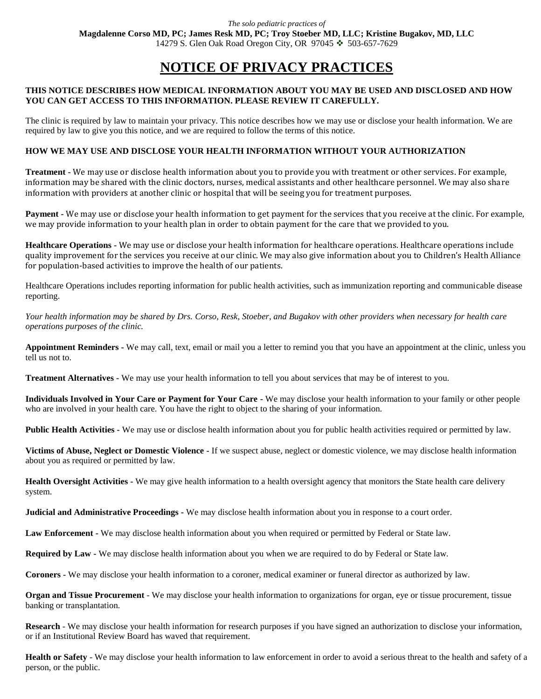# **NOTICE OF PRIVACY PRACTICES**

## **THIS NOTICE DESCRIBES HOW MEDICAL INFORMATION ABOUT YOU MAY BE USED AND DISCLOSED AND HOW YOU CAN GET ACCESS TO THIS INFORMATION. PLEASE REVIEW IT CAREFULLY.**

The clinic is required by law to maintain your privacy. This notice describes how we may use or disclose your health information. We are required by law to give you this notice, and we are required to follow the terms of this notice.

## **HOW WE MAY USE AND DISCLOSE YOUR HEALTH INFORMATION WITHOUT YOUR AUTHORIZATION**

**Treatment -** We may use or disclose health information about you to provide you with treatment or other services. For example, information may be shared with the clinic doctors, nurses, medical assistants and other healthcare personnel. We may also share information with providers at another clinic or hospital that will be seeing you for treatment purposes.

**Payment -** We may use or disclose your health information to get payment for the services that you receive at the clinic. For example, we may provide information to your health plan in order to obtain payment for the care that we provided to you.

**Healthcare Operations -** We may use or disclose your health information for healthcare operations. Healthcare operations include quality improvement for the services you receive at our clinic. We may also give information about you to Children's Health Alliance for population-based activities to improve the health of our patients.

Healthcare Operations includes reporting information for public health activities, such as immunization reporting and communicable disease reporting.

*Your health information may be shared by Drs. Corso, Resk, Stoeber, and Bugakov with other providers when necessary for health care operations purposes of the clinic.* 

**Appointment Reminders -** We may call, text, email or mail you a letter to remind you that you have an appointment at the clinic, unless you tell us not to.

**Treatment Alternatives -** We may use your health information to tell you about services that may be of interest to you.

**Individuals Involved in Your Care or Payment for Your Care -** We may disclose your health information to your family or other people who are involved in your health care. You have the right to object to the sharing of your information.

**Public Health Activities -** We may use or disclose health information about you for public health activities required or permitted by law.

**Victims of Abuse, Neglect or Domestic Violence -** If we suspect abuse, neglect or domestic violence, we may disclose health information about you as required or permitted by law.

**Health Oversight Activities -** We may give health information to a health oversight agency that monitors the State health care delivery system.

**Judicial and Administrative Proceedings -** We may disclose health information about you in response to a court order.

**Law Enforcement -** We may disclose health information about you when required or permitted by Federal or State law.

**Required by Law -** We may disclose health information about you when we are required to do by Federal or State law.

**Coroners -** We may disclose your health information to a coroner, medical examiner or funeral director as authorized by law.

**Organ and Tissue Procurement** - We may disclose your health information to organizations for organ, eye or tissue procurement, tissue banking or transplantation.

**Research** - We may disclose your health information for research purposes if you have signed an authorization to disclose your information, or if an Institutional Review Board has waved that requirement.

**Health or Safety** - We may disclose your health information to law enforcement in order to avoid a serious threat to the health and safety of a person, or the public.